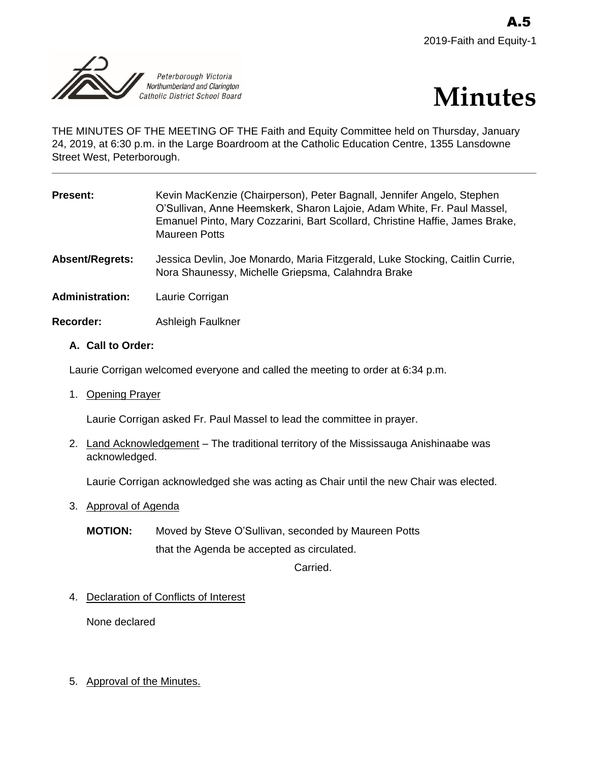



THE MINUTES OF THE MEETING OF THE Faith and Equity Committee held on Thursday, January 24, 2019, at 6:30 p.m. in the Large Boardroom at the Catholic Education Centre, 1355 Lansdowne Street West, Peterborough.

| <b>Present:</b>        | Kevin MacKenzie (Chairperson), Peter Bagnall, Jennifer Angelo, Stephen<br>O'Sullivan, Anne Heemskerk, Sharon Lajoie, Adam White, Fr. Paul Massel,<br>Emanuel Pinto, Mary Cozzarini, Bart Scollard, Christine Haffie, James Brake,<br><b>Maureen Potts</b> |
|------------------------|-----------------------------------------------------------------------------------------------------------------------------------------------------------------------------------------------------------------------------------------------------------|
| Absent/Regrets:        | Jessica Devlin, Joe Monardo, Maria Fitzgerald, Luke Stocking, Caitlin Currie,<br>Nora Shaunessy, Michelle Griepsma, Calahndra Brake                                                                                                                       |
| <b>Administration:</b> | Laurie Corrigan                                                                                                                                                                                                                                           |
| <b>Recorder:</b>       | Ashleigh Faulkner                                                                                                                                                                                                                                         |

# **A. Call to Order:**

Laurie Corrigan welcomed everyone and called the meeting to order at 6:34 p.m.

1. Opening Prayer

Laurie Corrigan asked Fr. Paul Massel to lead the committee in prayer.

2. Land Acknowledgement - The traditional territory of the Mississauga Anishinaabe was acknowledged.

Laurie Corrigan acknowledged she was acting as Chair until the new Chair was elected.

- 3. Approval of Agenda
	- **MOTION:** Moved by Steve O'Sullivan, seconded by Maureen Potts that the Agenda be accepted as circulated.

Carried.

4. Declaration of Conflicts of Interest

None declared

5. Approval of the Minutes.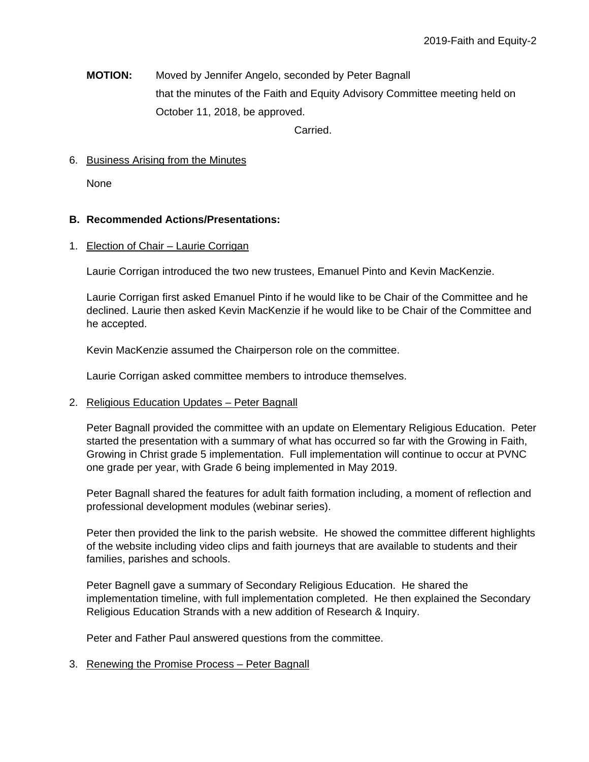**MOTION:** Moved by Jennifer Angelo, seconded by Peter Bagnall that the minutes of the Faith and Equity Advisory Committee meeting held on October 11, 2018, be approved.

Carried.

## 6. Business Arising from the Minutes

None

### **B. Recommended Actions/Presentations:**

#### 1. Election of Chair – Laurie Corrigan

Laurie Corrigan introduced the two new trustees, Emanuel Pinto and Kevin MacKenzie.

Laurie Corrigan first asked Emanuel Pinto if he would like to be Chair of the Committee and he declined. Laurie then asked Kevin MacKenzie if he would like to be Chair of the Committee and he accepted.

Kevin MacKenzie assumed the Chairperson role on the committee.

Laurie Corrigan asked committee members to introduce themselves.

#### 2. Religious Education Updates *–* Peter Bagnall

Peter Bagnall provided the committee with an update on Elementary Religious Education. Peter started the presentation with a summary of what has occurred so far with the Growing in Faith, Growing in Christ grade 5 implementation. Full implementation will continue to occur at PVNC one grade per year, with Grade 6 being implemented in May 2019.

Peter Bagnall shared the features for adult faith formation including, a moment of reflection and professional development modules (webinar series).

Peter then provided the link to the parish website. He showed the committee different highlights of the website including video clips and faith journeys that are available to students and their families, parishes and schools.

Peter Bagnell gave a summary of Secondary Religious Education. He shared the implementation timeline, with full implementation completed. He then explained the Secondary Religious Education Strands with a new addition of Research & Inquiry.

Peter and Father Paul answered questions from the committee.

#### 3. Renewing the Promise Process – Peter Bagnall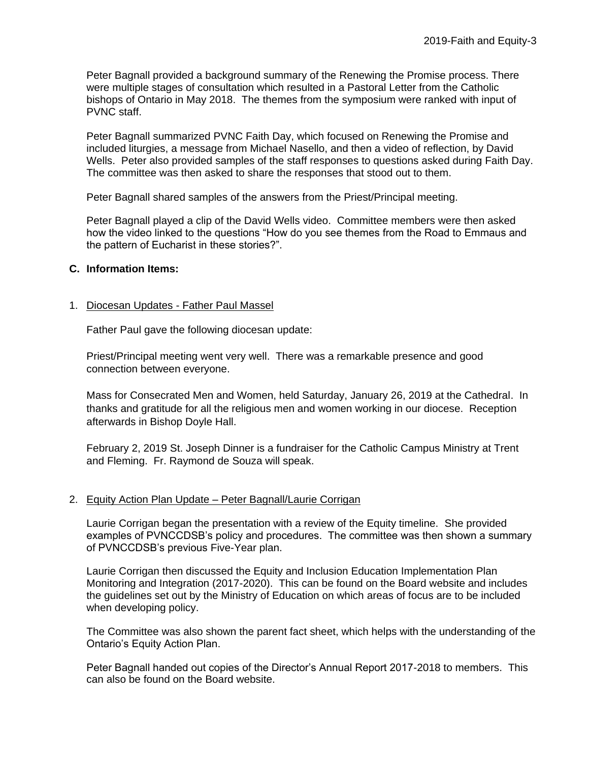Peter Bagnall provided a background summary of the Renewing the Promise process. There were multiple stages of consultation which resulted in a Pastoral Letter from the Catholic bishops of Ontario in May 2018. The themes from the symposium were ranked with input of PVNC staff.

Peter Bagnall summarized PVNC Faith Day, which focused on Renewing the Promise and included liturgies, a message from Michael Nasello, and then a video of reflection, by David Wells. Peter also provided samples of the staff responses to questions asked during Faith Day. The committee was then asked to share the responses that stood out to them.

Peter Bagnall shared samples of the answers from the Priest/Principal meeting.

Peter Bagnall played a clip of the David Wells video. Committee members were then asked how the video linked to the questions "How do you see themes from the Road to Emmaus and the pattern of Eucharist in these stories?".

# **C. Information Items:**

# 1. Diocesan Updates - Father Paul Massel

Father Paul gave the following diocesan update:

Priest/Principal meeting went very well. There was a remarkable presence and good connection between everyone.

Mass for Consecrated Men and Women, held Saturday, January 26, 2019 at the Cathedral. In thanks and gratitude for all the religious men and women working in our diocese. Reception afterwards in Bishop Doyle Hall.

February 2, 2019 St. Joseph Dinner is a fundraiser for the Catholic Campus Ministry at Trent and Fleming. Fr. Raymond de Souza will speak.

# 2. Equity Action Plan Update – Peter Bagnall/Laurie Corrigan

Laurie Corrigan began the presentation with a review of the Equity timeline. She provided examples of PVNCCDSB's policy and procedures. The committee was then shown a summary of PVNCCDSB's previous Five-Year plan.

Laurie Corrigan then discussed the Equity and Inclusion Education Implementation Plan Monitoring and Integration (2017-2020). This can be found on the Board website and includes the guidelines set out by the Ministry of Education on which areas of focus are to be included when developing policy.

The Committee was also shown the parent fact sheet, which helps with the understanding of the Ontario's Equity Action Plan.

Peter Bagnall handed out copies of the Director's Annual Report 2017-2018 to members. This can also be found on the Board website.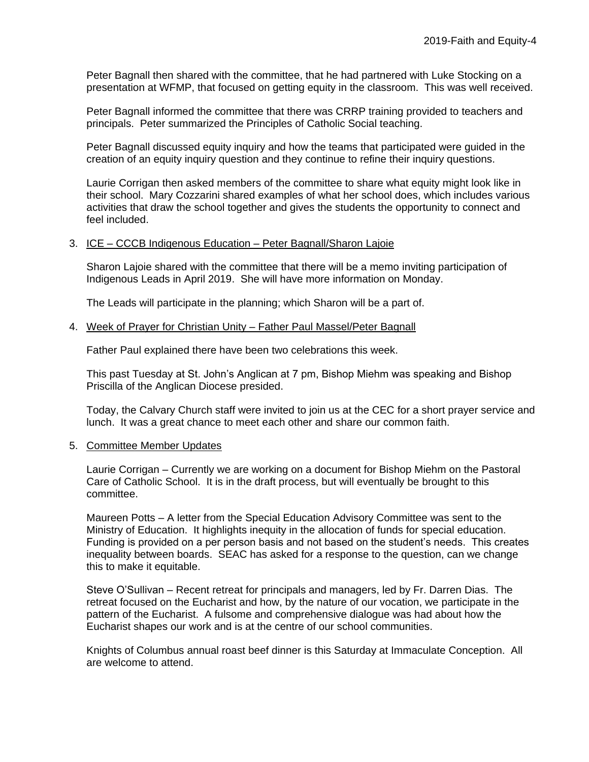Peter Bagnall then shared with the committee, that he had partnered with Luke Stocking on a presentation at WFMP, that focused on getting equity in the classroom. This was well received.

Peter Bagnall informed the committee that there was CRRP training provided to teachers and principals. Peter summarized the Principles of Catholic Social teaching.

Peter Bagnall discussed equity inquiry and how the teams that participated were guided in the creation of an equity inquiry question and they continue to refine their inquiry questions.

Laurie Corrigan then asked members of the committee to share what equity might look like in their school. Mary Cozzarini shared examples of what her school does, which includes various activities that draw the school together and gives the students the opportunity to connect and feel included.

#### 3. ICE – CCCB Indigenous Education – Peter Bagnall/Sharon Lajoie

Sharon Lajoie shared with the committee that there will be a memo inviting participation of Indigenous Leads in April 2019. She will have more information on Monday.

The Leads will participate in the planning; which Sharon will be a part of.

#### 4. Week of Prayer for Christian Unity – Father Paul Massel/Peter Bagnall

Father Paul explained there have been two celebrations this week.

This past Tuesday at St. John's Anglican at 7 pm, Bishop Miehm was speaking and Bishop Priscilla of the Anglican Diocese presided.

Today, the Calvary Church staff were invited to join us at the CEC for a short prayer service and lunch. It was a great chance to meet each other and share our common faith.

#### 5. Committee Member Updates

Laurie Corrigan – Currently we are working on a document for Bishop Miehm on the Pastoral Care of Catholic School. It is in the draft process, but will eventually be brought to this committee.

Maureen Potts – A letter from the Special Education Advisory Committee was sent to the Ministry of Education. It highlights inequity in the allocation of funds for special education. Funding is provided on a per person basis and not based on the student's needs. This creates inequality between boards. SEAC has asked for a response to the question, can we change this to make it equitable.

Steve O'Sullivan – Recent retreat for principals and managers, led by Fr. Darren Dias. The retreat focused on the Eucharist and how, by the nature of our vocation, we participate in the pattern of the Eucharist. A fulsome and comprehensive dialogue was had about how the Eucharist shapes our work and is at the centre of our school communities.

Knights of Columbus annual roast beef dinner is this Saturday at Immaculate Conception. All are welcome to attend.